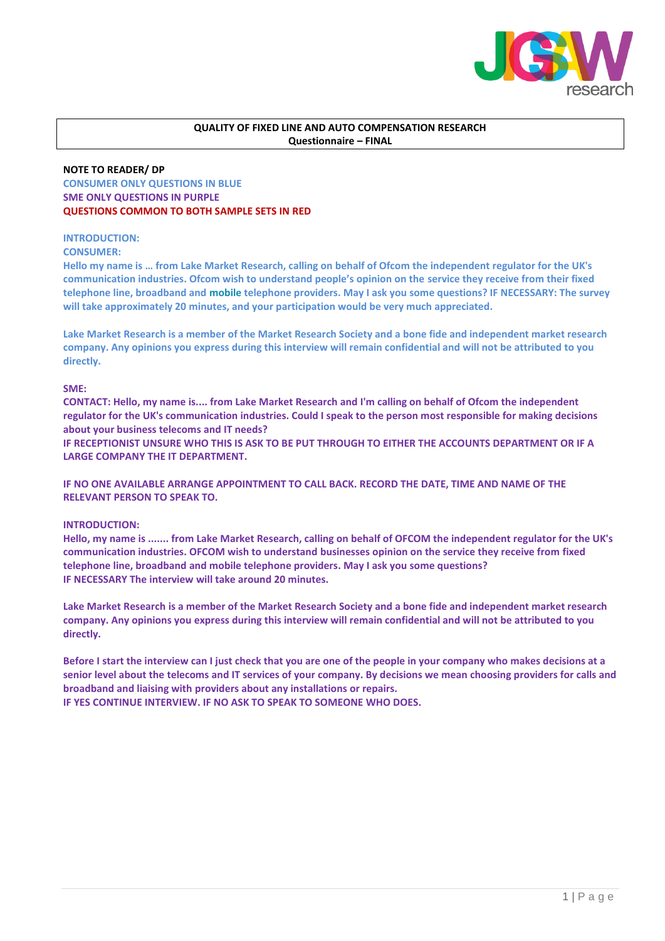

## **QUALITY OF FIXED LINE AND AUTO COMPENSATION RESEARCH Questionnaire – FINAL**

## **NOTE TO READER/ DP**

**CONSUMER ONLY QUESTIONS IN BLUE SME ONLY QUESTIONS IN PURPLE QUESTIONS COMMON TO BOTH SAMPLE SETS IN RED**

## **INTRODUCTION:**

## **CONSUMER:**

**Hello my name is … from Lake Market Research, calling on behalf of Ofcom the independent regulator for the UK's communication industries. Ofcom wish to understand people's opinion on the service they receive from their fixed telephone line, broadband and mobile telephone providers. May I ask you some questions? IF NECESSARY: The survey will take approximately 20 minutes, and your participation would be very much appreciated.**

**Lake Market Research is a member of the Market Research Society and a bone fide and independent market research company. Any opinions you express during this interview will remain confidential and will not be attributed to you directly.** 

## **SME:**

**CONTACT: Hello, my name is.... from Lake Market Research and I'm calling on behalf of Ofcom the independent regulator for the UK's communication industries. Could I speak to the person most responsible for making decisions about your business telecoms and IT needs?** 

**IF RECEPTIONIST UNSURE WHO THIS IS ASK TO BE PUT THROUGH TO EITHER THE ACCOUNTS DEPARTMENT OR IF A LARGE COMPANY THE IT DEPARTMENT.**

**IF NO ONE AVAILABLE ARRANGE APPOINTMENT TO CALL BACK. RECORD THE DATE, TIME AND NAME OF THE RELEVANT PERSON TO SPEAK TO.** 

## **INTRODUCTION:**

**Hello, my name is ....... from Lake Market Research, calling on behalf of OFCOM the independent regulator for the UK's communication industries. OFCOM wish to understand businesses opinion on the service they receive from fixed telephone line, broadband and mobile telephone providers. May I ask you some questions? IF NECESSARY The interview will take around 20 minutes.**

**Lake Market Research is a member of the Market Research Society and a bone fide and independent market research company. Any opinions you express during this interview will remain confidential and will not be attributed to you directly.** 

**Before I start the interview can I just check that you are one of the people in your company who makes decisions at a senior level about the telecoms and IT services of your company. By decisions we mean choosing providers for calls and broadband and liaising with providers about any installations or repairs. IF YES CONTINUE INTERVIEW. IF NO ASK TO SPEAK TO SOMEONE WHO DOES.**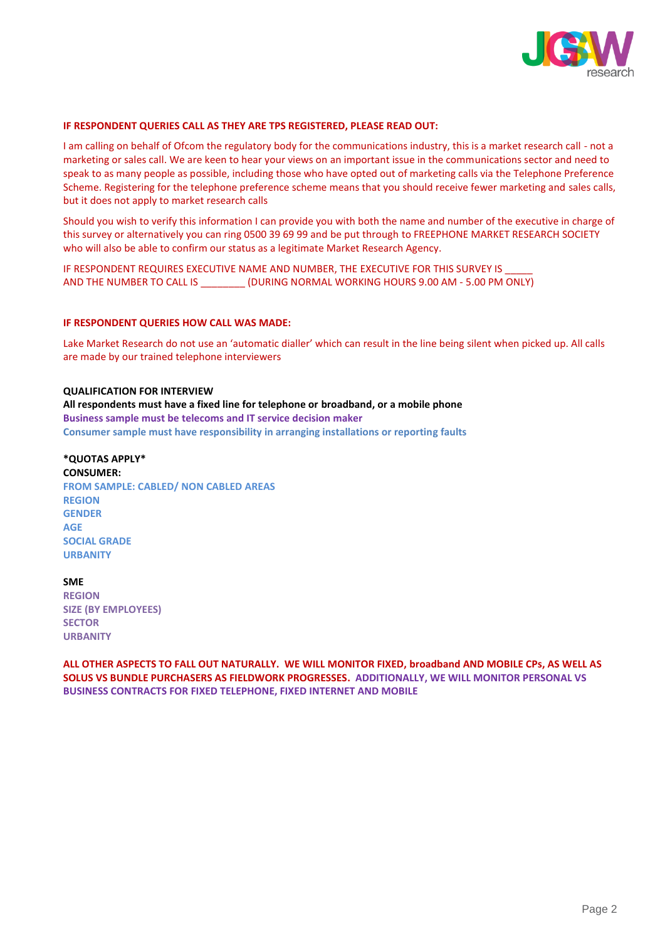

#### **IF RESPONDENT QUERIES CALL AS THEY ARE TPS REGISTERED, PLEASE READ OUT:**

I am calling on behalf of Ofcom the regulatory body for the communications industry, this is a market research call - not a marketing or sales call. We are keen to hear your views on an important issue in the communications sector and need to speak to as many people as possible, including those who have opted out of marketing calls via the Telephone Preference Scheme. Registering for the telephone preference scheme means that you should receive fewer marketing and sales calls, but it does not apply to market research calls

Should you wish to verify this information I can provide you with both the name and number of the executive in charge of this survey or alternatively you can ring 0500 39 69 99 and be put through to FREEPHONE MARKET RESEARCH SOCIETY who will also be able to confirm our status as a legitimate Market Research Agency.

IF RESPONDENT REQUIRES EXECUTIVE NAME AND NUMBER, THE EXECUTIVE FOR THIS SURVEY IS AND THE NUMBER TO CALL IS \_\_\_\_\_\_\_\_ (DURING NORMAL WORKING HOURS 9.00 AM - 5.00 PM ONLY)

#### **IF RESPONDENT QUERIES HOW CALL WAS MADE:**

Lake Market Research do not use an 'automatic dialler' which can result in the line being silent when picked up. All calls are made by our trained telephone interviewers

**QUALIFICATION FOR INTERVIEW All respondents must have a fixed line for telephone or broadband, or a mobile phone Business sample must be telecoms and IT service decision maker Consumer sample must have responsibility in arranging installations or reporting faults**

#### **\*QUOTAS APPLY\***

#### **CONSUMER:**

**FROM SAMPLE: CABLED/ NON CABLED AREAS REGION GENDER AGE SOCIAL GRADE URBANITY**

**SME**

**REGION SIZE (BY EMPLOYEES) SECTOR URBANITY**

**ALL OTHER ASPECTS TO FALL OUT NATURALLY. WE WILL MONITOR FIXED, broadband AND MOBILE CPs, AS WELL AS SOLUS VS BUNDLE PURCHASERS AS FIELDWORK PROGRESSES. ADDITIONALLY, WE WILL MONITOR PERSONAL VS BUSINESS CONTRACTS FOR FIXED TELEPHONE, FIXED INTERNET AND MOBILE**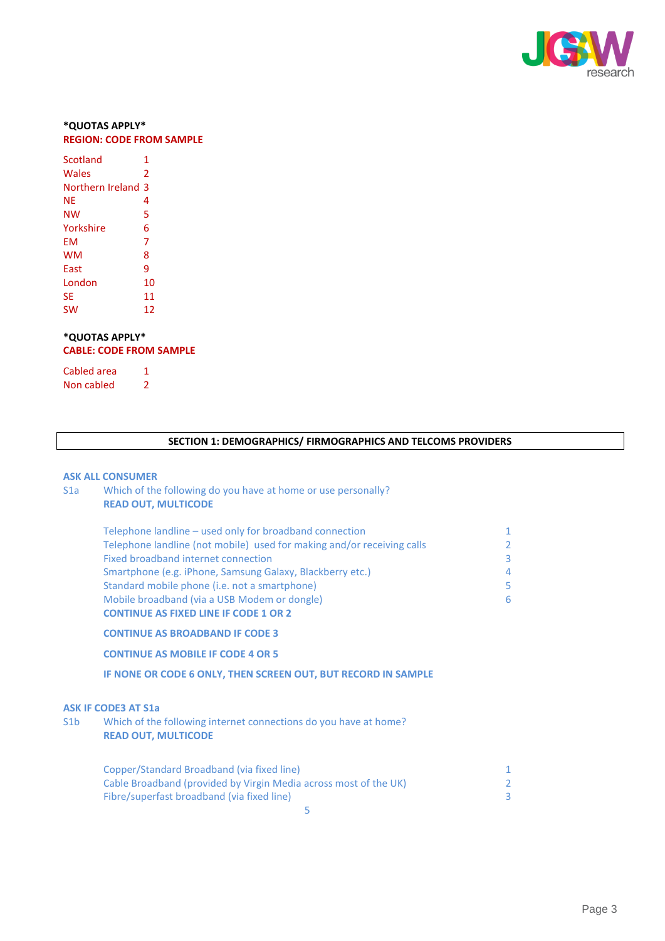

## **\*QUOTAS APPLY\* REGION: CODE FROM SAMPLE**

| Scotland         | 1  |
|------------------|----|
| Wales            | 2  |
| Northern Ireland | 3  |
| ΝE               | 4  |
| NW               | 5  |
| Yorkshire        | 6  |
| FM               | 7  |
| wм               | 8  |
| East             | ٩  |
| London           | 10 |
| SE               | 11 |
| SW               | 12 |

## **\*QUOTAS APPLY\* CABLE: CODE FROM SAMPLE**

Cabled area 1 Non cabled 2

## **SECTION 1: DEMOGRAPHICS/ FIRMOGRAPHICS AND TELCOMS PROVIDERS**

#### **ASK ALL CONSUMER**

## S1a Which of the following do you have at home or use personally? **READ OUT, MULTICODE**

| Telephone landline – used only for broadband connection                | 1              |
|------------------------------------------------------------------------|----------------|
| Telephone landline (not mobile) used for making and/or receiving calls | $\overline{2}$ |
| Fixed broadband internet connection                                    | $\overline{3}$ |
| Smartphone (e.g. iPhone, Samsung Galaxy, Blackberry etc.)              | $\overline{4}$ |
| Standard mobile phone (i.e. not a smartphone)                          | 5              |
| Mobile broadband (via a USB Modem or dongle)                           | 6              |
| <b>CONTINUE AS FIXED LINE IF CODE 1 OR 2</b>                           |                |
| <b>CONTINUE AS BROADBAND IF CODE 3</b>                                 |                |

## **CONTINUE AS MOBILE IF CODE 4 OR 5**

**IF NONE OR CODE 6 ONLY, THEN SCREEN OUT, BUT RECORD IN SAMPLE**

#### **ASK IF CODE3 AT S1a**

S1b Which of the following internet connections do you have at home? **READ OUT, MULTICODE**

| Copper/Standard Broadband (via fixed line)                       |  |
|------------------------------------------------------------------|--|
| Cable Broadband (provided by Virgin Media across most of the UK) |  |
| Fibre/superfast broadband (via fixed line)                       |  |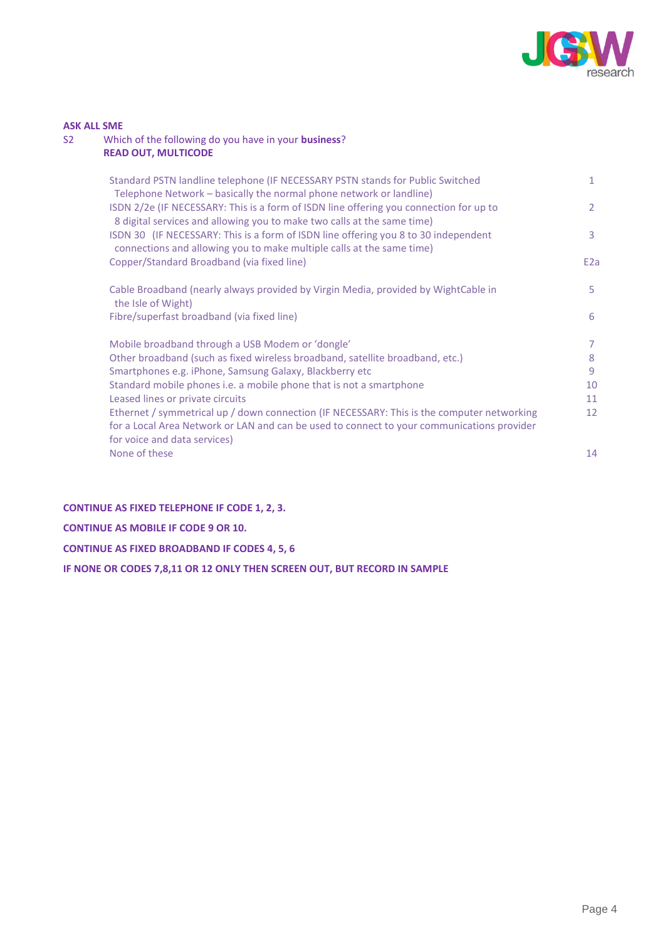

## **ASK ALL SME**

## S2 Which of the following do you have in your **business**? **READ OUT, MULTICODE**

| Standard PSTN landline telephone (IF NECESSARY PSTN stands for Public Switched<br>Telephone Network - basically the normal phone network or landline)                                                                    | 1                |
|--------------------------------------------------------------------------------------------------------------------------------------------------------------------------------------------------------------------------|------------------|
| ISDN 2/2e (IF NECESSARY: This is a form of ISDN line offering you connection for up to<br>8 digital services and allowing you to make two calls at the same time)                                                        | $\overline{2}$   |
| ISDN 30 (IF NECESSARY: This is a form of ISDN line offering you 8 to 30 independent<br>connections and allowing you to make multiple calls at the same time)                                                             | 3                |
| Copper/Standard Broadband (via fixed line)                                                                                                                                                                               | E <sub>2</sub> a |
| Cable Broadband (nearly always provided by Virgin Media, provided by WightCable in<br>the Isle of Wight)                                                                                                                 | 5.               |
| Fibre/superfast broadband (via fixed line)                                                                                                                                                                               | 6                |
| Mobile broadband through a USB Modem or 'dongle'                                                                                                                                                                         | 7                |
| Other broadband (such as fixed wireless broadband, satellite broadband, etc.)                                                                                                                                            | 8                |
| Smartphones e.g. iPhone, Samsung Galaxy, Blackberry etc                                                                                                                                                                  | 9                |
| Standard mobile phones i.e. a mobile phone that is not a smartphone                                                                                                                                                      | 10               |
| Leased lines or private circuits                                                                                                                                                                                         | 11               |
| Ethernet / symmetrical up / down connection (IF NECESSARY: This is the computer networking<br>for a Local Area Network or LAN and can be used to connect to your communications provider<br>for voice and data services) | 12               |
| None of these                                                                                                                                                                                                            | 14               |

## **CONTINUE AS FIXED TELEPHONE IF CODE 1, 2, 3.**

**CONTINUE AS MOBILE IF CODE 9 OR 10.**

**CONTINUE AS FIXED BROADBAND IF CODES 4, 5, 6**

**IF NONE OR CODES 7,8,11 OR 12 ONLY THEN SCREEN OUT, BUT RECORD IN SAMPLE**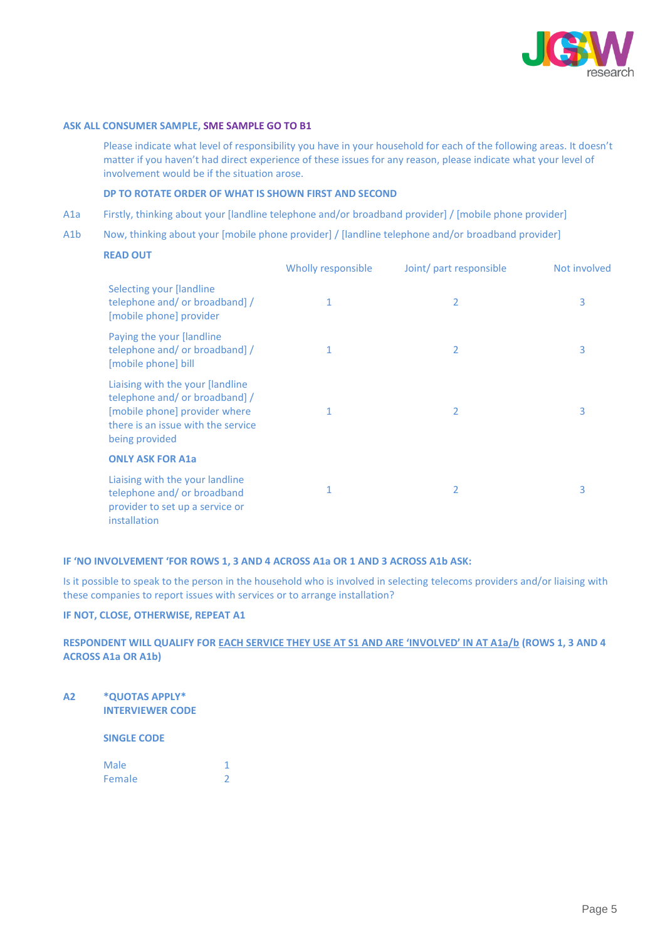

#### **ASK ALL CONSUMER SAMPLE, SME SAMPLE GO TO B1**

Please indicate what level of responsibility you have in your household for each of the following areas. It doesn't matter if you haven't had direct experience of these issues for any reason, please indicate what your level of involvement would be if the situation arose.

## **DP TO ROTATE ORDER OF WHAT IS SHOWN FIRST AND SECOND**

- A1a Firstly, thinking about your [landline telephone and/or broadband provider] / [mobile phone provider]
- A1b Now, thinking about your [mobile phone provider] / [landline telephone and/or broadband provider]

#### **READ OUT**

|                                                                                                                                                            | Wholly responsible | Joint/ part responsible | Not involved |
|------------------------------------------------------------------------------------------------------------------------------------------------------------|--------------------|-------------------------|--------------|
| <b>Selecting your [landline</b><br>telephone and/ or broadband]/<br>[mobile phone] provider                                                                |                    | 2                       | 3            |
| Paying the your [landline]<br>telephone and/ or broadband] /<br>[mobile phone] bill                                                                        |                    | 2                       | 3            |
| Liaising with the your [landline<br>telephone and/ or broadband]/<br>[mobile phone] provider where<br>there is an issue with the service<br>being provided | 1                  | 2                       | 3            |
| <b>ONLY ASK FOR A1a</b>                                                                                                                                    |                    |                         |              |
| Liaising with the your landline<br>telephone and/ or broadband<br>provider to set up a service or<br>installation                                          |                    | 2                       | 3            |

### **IF 'NO INVOLVEMENT 'FOR ROWS 1, 3 AND 4 ACROSS A1a OR 1 AND 3 ACROSS A1b ASK:**

Is it possible to speak to the person in the household who is involved in selecting telecoms providers and/or liaising with these companies to report issues with services or to arrange installation?

## **IF NOT, CLOSE, OTHERWISE, REPEAT A1**

## **RESPONDENT WILL QUALIFY FOR EACH SERVICE THEY USE AT S1 AND ARE 'INVOLVED' IN AT A1a/b (ROWS 1, 3 AND 4 ACROSS A1a OR A1b)**

**A2 \*QUOTAS APPLY\* INTERVIEWER CODE**

**SINGLE CODE**

| Male   |  |
|--------|--|
| Female |  |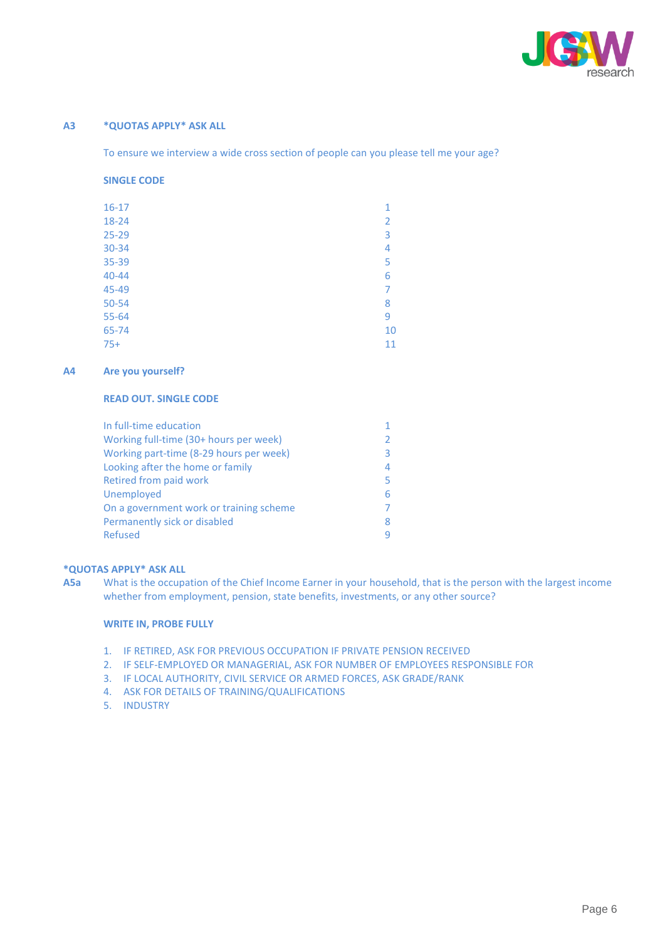

## **A3 \*QUOTAS APPLY\* ASK ALL**

To ensure we interview a wide cross section of people can you please tell me your age?

#### **SINGLE CODE**

| 1              |
|----------------|
| 2              |
| 3              |
| $\overline{4}$ |
| 5              |
| 6              |
| 7              |
| 8              |
| 9              |
| 10             |
| 11             |
|                |

#### **A4 Are you yourself?**

#### **READ OUT. SINGLE CODE**

| In full-time education                  |   |
|-----------------------------------------|---|
| Working full-time (30+ hours per week)  |   |
| Working part-time (8-29 hours per week) | ₹ |
| Looking after the home or family        | 4 |
| Retired from paid work                  | 5 |
| Unemployed                              |   |
| On a government work or training scheme |   |
| Permanently sick or disabled            |   |
| Refused                                 |   |

## **\*QUOTAS APPLY\* ASK ALL**

**A5a** What is the occupation of the Chief Income Earner in your household, that is the person with the largest income whether from employment, pension, state benefits, investments, or any other source?

#### **WRITE IN, PROBE FULLY**

- 1. IF RETIRED, ASK FOR PREVIOUS OCCUPATION IF PRIVATE PENSION RECEIVED
- 2. IF SELF-EMPLOYED OR MANAGERIAL, ASK FOR NUMBER OF EMPLOYEES RESPONSIBLE FOR
- 3. IF LOCAL AUTHORITY, CIVIL SERVICE OR ARMED FORCES, ASK GRADE/RANK
- 4. ASK FOR DETAILS OF TRAINING/QUALIFICATIONS
- 5. INDUSTRY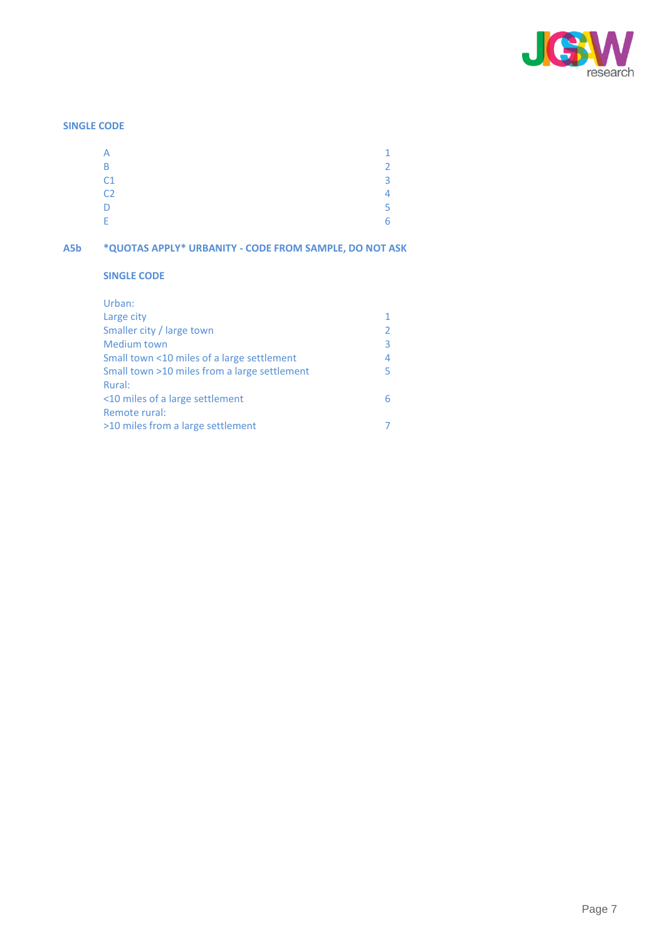

## **SINGLE CODE**

| А              |    |
|----------------|----|
| B              | C  |
| C <sub>1</sub> | ς  |
| C <sub>2</sub> | 4  |
| D              | E. |
| E              | 6  |

## **A5b \*QUOTAS APPLY\* URBANITY - CODE FROM SAMPLE, DO NOT ASK**

## **SINGLE CODE**

| 3 |
|---|
| 4 |
| 5 |
|   |
| 6 |
|   |
|   |
|   |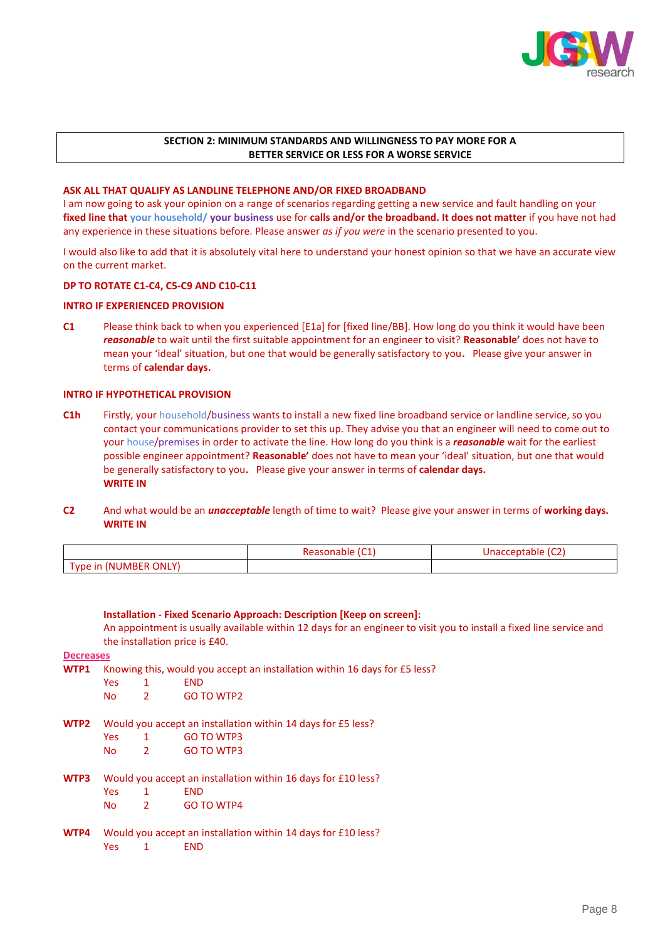

## **SECTION 2: MINIMUM STANDARDS AND WILLINGNESS TO PAY MORE FOR A BETTER SERVICE OR LESS FOR A WORSE SERVICE**

#### **ASK ALL THAT QUALIFY AS LANDLINE TELEPHONE AND/OR FIXED BROADBAND**

I am now going to ask your opinion on a range of scenarios regarding getting a new service and fault handling on your **fixed line that your household/ your business** use for **calls and/or the broadband. It does not matter** if you have not had any experience in these situations before. Please answer *as if you were* in the scenario presented to you.

I would also like to add that it is absolutely vital here to understand your honest opinion so that we have an accurate view on the current market.

#### **DP TO ROTATE C1-C4, C5-C9 AND C10-C11**

#### **INTRO IF EXPERIENCED PROVISION**

**C1** Please think back to when you experienced [E1a] for [fixed line/BB]. How long do you think it would have been *reasonable* to wait until the first suitable appointment for an engineer to visit? **Reasonable'** does not have to mean your 'ideal' situation, but one that would be generally satisfactory to you**.** Please give your answer in terms of **calendar days.** 

#### **INTRO IF HYPOTHETICAL PROVISION**

- **C1h** Firstly, your household/business wants to install a new fixed line broadband service or landline service, so you contact your communications provider to set this up. They advise you that an engineer will need to come out to your house/premises in order to activate the line. How long do you think is a *reasonable* wait for the earliest possible engineer appointment? **Reasonable'** does not have to mean your 'ideal' situation, but one that would be generally satisfactory to you**.** Please give your answer in terms of **calendar days. WRITE IN**
- **C2** And what would be an *unacceptable* length of time to wait? Please give your answer in terms of **working days. WRITE IN**

|                                              | $\sim$<br>asonable:<br>nc<br>. | $\sim$<br>unac<br>ranie<br>en<br>ີ |
|----------------------------------------------|--------------------------------|------------------------------------|
| $-1$<br>UMBER ONLY<br><b>vpe in</b><br>7 N I |                                |                                    |

**Installation - Fixed Scenario Approach: Description [Keep on screen]:** An appointment is usually available within 12 days for an engineer to visit you to install a fixed line service and the installation price is £40. **Decreases WTP1** Knowing this, would you accept an installation within 16 days for £5 less? Yes 1 END No 2 GO TO WTP2 **WTP2** Would you accept an installation within 14 days for £5 less? Yes 1 GO TO WTP3

- No 2 GO TO WTP3
- **WTP3** Would you accept an installation within 16 days for £10 less?
	- Yes 1 END
	- No 2 GO TO WTP4
- **WTP4** Would you accept an installation within 14 days for £10 less? Yes 1 END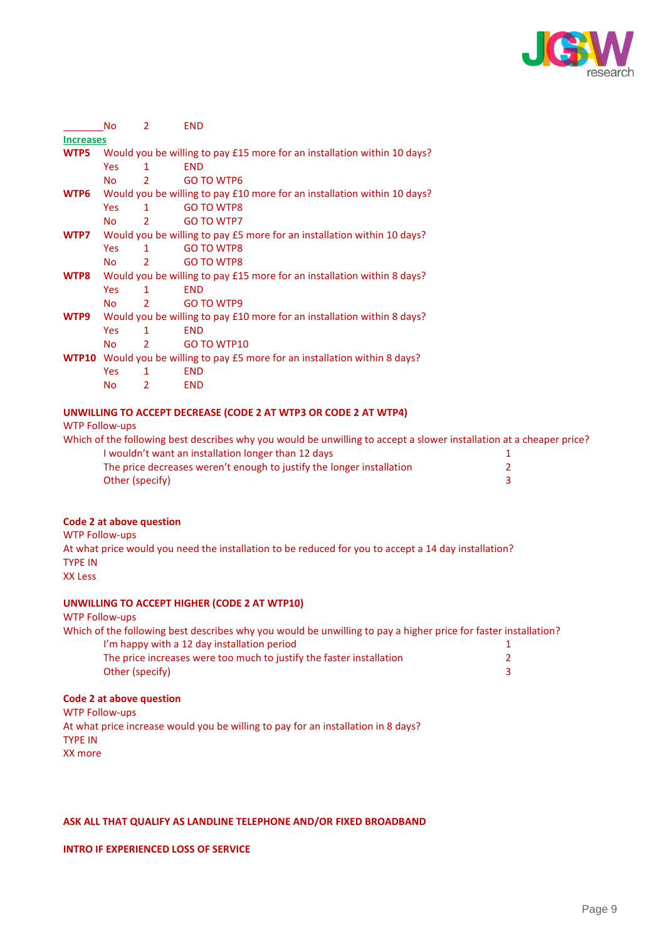

| WTP5                     |                                                                              | Would you be willing to pay £15 more for an installation within 10 days? |                                                                                                                      |   |  |  |  |
|--------------------------|------------------------------------------------------------------------------|--------------------------------------------------------------------------|----------------------------------------------------------------------------------------------------------------------|---|--|--|--|
|                          | <b>Yes</b>                                                                   | $\mathbf{1}$                                                             | <b>END</b>                                                                                                           |   |  |  |  |
|                          | <b>No</b>                                                                    | $\overline{2}$                                                           | <b>GO TO WTP6</b>                                                                                                    |   |  |  |  |
| WTP6                     | Would you be willing to pay £10 more for an installation within 10 days?     |                                                                          |                                                                                                                      |   |  |  |  |
|                          | <b>Yes</b>                                                                   | $\mathbf{1}$                                                             | <b>GO TO WTP8</b>                                                                                                    |   |  |  |  |
|                          | <b>No</b>                                                                    | $\overline{2}$                                                           | <b>GO TO WTP7</b>                                                                                                    |   |  |  |  |
| WTP7                     |                                                                              | Would you be willing to pay £5 more for an installation within 10 days?  |                                                                                                                      |   |  |  |  |
|                          | <b>Yes</b>                                                                   | $\mathbf{1}$                                                             | <b>GO TO WTP8</b>                                                                                                    |   |  |  |  |
|                          | <b>No</b>                                                                    | $\overline{2}$                                                           | <b>GO TO WTP8</b>                                                                                                    |   |  |  |  |
| WTP8                     |                                                                              |                                                                          | Would you be willing to pay £15 more for an installation within 8 days?                                              |   |  |  |  |
|                          | <b>Yes</b>                                                                   | 1                                                                        | <b>END</b>                                                                                                           |   |  |  |  |
|                          | <b>No</b>                                                                    | $\overline{2}$                                                           | GO TO WTP9                                                                                                           |   |  |  |  |
| WTP9                     | Would you be willing to pay £10 more for an installation within 8 days?      |                                                                          |                                                                                                                      |   |  |  |  |
|                          | <b>Yes</b>                                                                   | $\mathbf{1}$                                                             | <b>END</b>                                                                                                           |   |  |  |  |
|                          | <b>No</b>                                                                    | $\overline{2}$                                                           | GO TO WTP10                                                                                                          |   |  |  |  |
|                          | WTP10 Would you be willing to pay £5 more for an installation within 8 days? |                                                                          |                                                                                                                      |   |  |  |  |
|                          | <b>Yes</b>                                                                   | $\mathbf{1}$                                                             | <b>END</b>                                                                                                           |   |  |  |  |
|                          | <b>No</b>                                                                    | $\overline{2}$                                                           | <b>END</b>                                                                                                           |   |  |  |  |
|                          |                                                                              |                                                                          | UNWILLING TO ACCEPT DECREASE (CODE 2 AT WTP3 OR CODE 2 AT WTP4)                                                      |   |  |  |  |
| <b>WTP Follow-ups</b>    |                                                                              |                                                                          |                                                                                                                      |   |  |  |  |
|                          |                                                                              |                                                                          | Which of the following best describes why you would be unwilling to accept a slower installation at a cheaper price? |   |  |  |  |
|                          |                                                                              |                                                                          | I wouldn't want an installation longer than 12 days                                                                  | 1 |  |  |  |
|                          |                                                                              |                                                                          | The price decreases weren't enough to justify the longer installation                                                | 2 |  |  |  |
|                          |                                                                              | Other (specify)                                                          |                                                                                                                      | 3 |  |  |  |
|                          |                                                                              |                                                                          |                                                                                                                      |   |  |  |  |
| Code 2 at above question |                                                                              |                                                                          |                                                                                                                      |   |  |  |  |
| <b>WTP Follow-ups</b>    |                                                                              |                                                                          |                                                                                                                      |   |  |  |  |
|                          |                                                                              |                                                                          |                                                                                                                      |   |  |  |  |

At what price would you need the installation to be reduced for you to accept a 14 day installation? TYPE IN XX Less

## **UNWILLING TO ACCEPT HIGHER (CODE 2 AT WTP10)**

No 2 END

**Increases**

WTP Follow-ups

| Which of the following best describes why you would be unwilling to pay a higher price for faster installation? |  |
|-----------------------------------------------------------------------------------------------------------------|--|
| I'm happy with a 12 day installation period                                                                     |  |
| The price increases were too much to justify the faster installation                                            |  |
| Other (specify)                                                                                                 |  |

### **Code 2 at above question**

WTP Follow-ups At what price increase would you be willing to pay for an installation in 8 days? TYPE IN XX more

### **ASK ALL THAT QUALIFY AS LANDLINE TELEPHONE AND/OR FIXED BROADBAND**

**INTRO IF EXPERIENCED LOSS OF SERVICE**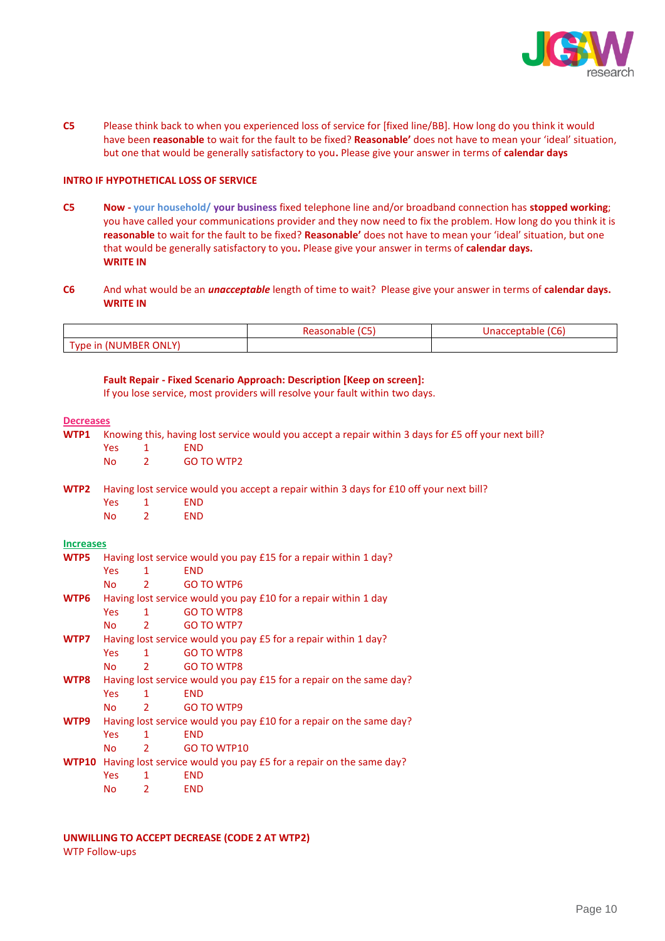

**C5** Please think back to when you experienced loss of service for [fixed line/BB]. How long do you think it would have been **reasonable** to wait for the fault to be fixed? **Reasonable'** does not have to mean your 'ideal' situation, but one that would be generally satisfactory to you**.** Please give your answer in terms of **calendar days**

#### **INTRO IF HYPOTHETICAL LOSS OF SERVICE**

- **C5 Now - your household/ your business** fixed telephone line and/or broadband connection has **stopped working**; you have called your communications provider and they now need to fix the problem. How long do you think it is **reasonable** to wait for the fault to be fixed? **Reasonable'** does not have to mean your 'ideal' situation, but one that would be generally satisfactory to you**.** Please give your answer in terms of **calendar days. WRITE IN**
- **C6** And what would be an *unacceptable* length of time to wait? Please give your answer in terms of **calendar days. WRITE IN**

|                       | $\sim$<br>Reasonable IC | (C6)<br><u>Inaccentable</u> |
|-----------------------|-------------------------|-----------------------------|
| Type in (NUMBER ONLY) |                         |                             |

# **Fault Repair - Fixed Scenario Approach: Description [Keep on screen]:**

If you lose service, most providers will resolve your fault within two days.

#### **Decreases**

**WTP1** Knowing this, having lost service would you accept a repair within 3 days for £5 off your next bill? Yes 1 END No 2 GO TO WTP2 **WTP2** Having lost service would you accept a repair within 3 days for £10 off your next bill? Yes 1 END No 2 END **Increases WTP5** Having lost service would you pay £15 for a repair within 1 day?

| WTP5         | Having lost service would you pay £15 for a repair within 1 day?    |               |                                                                 |
|--------------|---------------------------------------------------------------------|---------------|-----------------------------------------------------------------|
|              | Yes:                                                                | 1             | <b>END</b>                                                      |
|              | No.                                                                 | $\mathcal{L}$ | GO TO WTP6                                                      |
| WTP6         |                                                                     |               | Having lost service would you pay £10 for a repair within 1 day |
|              | Yes                                                                 | 1             | <b>GO TO WTP8</b>                                               |
|              | No l                                                                | $\mathcal{L}$ | GO TO WTP7                                                      |
| WTP7         | Having lost service would you pay £5 for a repair within 1 day?     |               |                                                                 |
|              | Yes:                                                                | $\mathbf{1}$  | GO TO WTP8                                                      |
|              | No.                                                                 | $\mathbf{2}$  | <b>GO TO WTP8</b>                                               |
| WTP8         | Having lost service would you pay £15 for a repair on the same day? |               |                                                                 |
|              | Yes:                                                                | $\mathbf{1}$  | <b>END</b>                                                      |
|              | No.                                                                 | 2             | GO TO WTP9                                                      |
| WTP9         | Having lost service would you pay £10 for a repair on the same day? |               |                                                                 |
|              | <b>Yes</b>                                                          | 1             | <b>END</b>                                                      |
|              | No                                                                  | $\mathcal{L}$ | GO TO WTP10                                                     |
| <b>WTP10</b> | Having lost service would you pay £5 for a repair on the same day?  |               |                                                                 |
|              | <b>Yes</b>                                                          | 1             | <b>END</b>                                                      |
|              | No                                                                  | $\mathcal{P}$ | <b>END</b>                                                      |

## **UNWILLING TO ACCEPT DECREASE (CODE 2 AT WTP2)**

WTP Follow-ups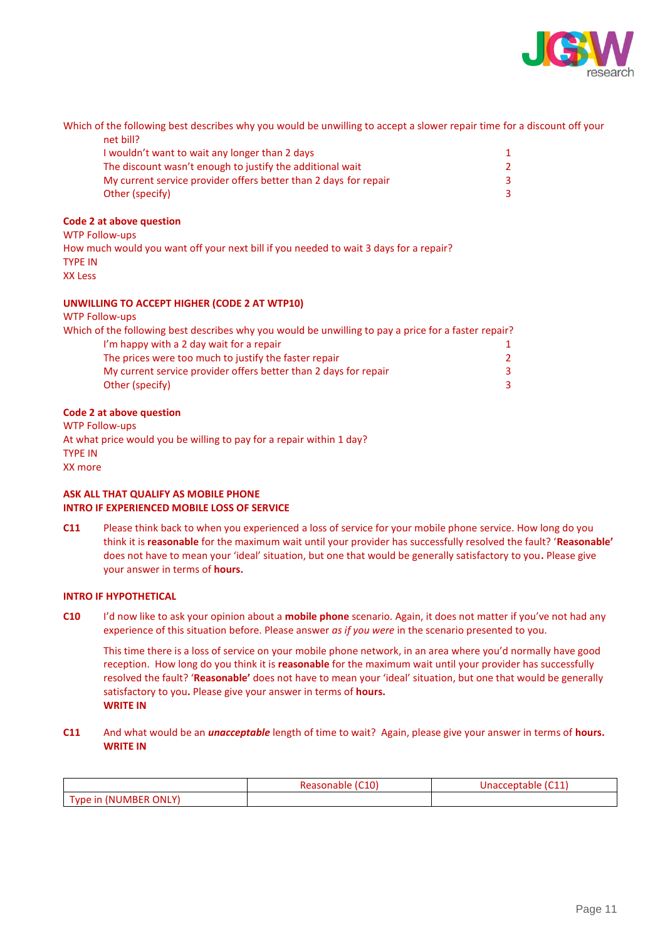

Which of the following best describes why you would be unwilling to accept a slower repair time for a discount off your net bill?

| 3 |
|---|
| 3 |
|   |

#### **Code 2 at above question**

WTP Follow-ups How much would you want off your next bill if you needed to wait 3 days for a repair? TYPE IN XX Less

## **UNWILLING TO ACCEPT HIGHER (CODE 2 AT WTP10)**

| <b>WTP Follow-ups</b>                                                                                |               |
|------------------------------------------------------------------------------------------------------|---------------|
| Which of the following best describes why you would be unwilling to pay a price for a faster repair? |               |
| I'm happy with a 2 day wait for a repair                                                             | 1.            |
| The prices were too much to justify the faster repair                                                | $\mathcal{L}$ |
| My current service provider offers better than 2 days for repair                                     | 3             |
| Other (specify)                                                                                      | 3             |
|                                                                                                      |               |

#### **Code 2 at above question**

WTP Follow-ups At what price would you be willing to pay for a repair within 1 day? TYPE IN XX more

## **ASK ALL THAT QUALIFY AS MOBILE PHONE INTRO IF EXPERIENCED MOBILE LOSS OF SERVICE**

**C11** Please think back to when you experienced a loss of service for your mobile phone service. How long do you think it is **reasonable** for the maximum wait until your provider has successfully resolved the fault? '**Reasonable'**  does not have to mean your 'ideal' situation, but one that would be generally satisfactory to you**.** Please give your answer in terms of **hours.**

## **INTRO IF HYPOTHETICAL**

**C10** I'd now like to ask your opinion about a **mobile phone** scenario. Again, it does not matter if you've not had any experience of this situation before. Please answer *as if you were* in the scenario presented to you.

This time there is a loss of service on your mobile phone network, in an area where you'd normally have good reception. How long do you think it is **reasonable** for the maximum wait until your provider has successfully resolved the fault? '**Reasonable'** does not have to mean your 'ideal' situation, but one that would be generally satisfactory to you**.** Please give your answer in terms of **hours. WRITE IN**

**C11** And what would be an *unacceptable* length of time to wait? Again, please give your answer in terms of **hours. WRITE IN**

|                       | $^{\prime}$ C10)<br>Reasonable (C | $\sqrt{24}$<br>Unacceptable<br>1011. |
|-----------------------|-----------------------------------|--------------------------------------|
| Type in (NUMBER ONLY) |                                   |                                      |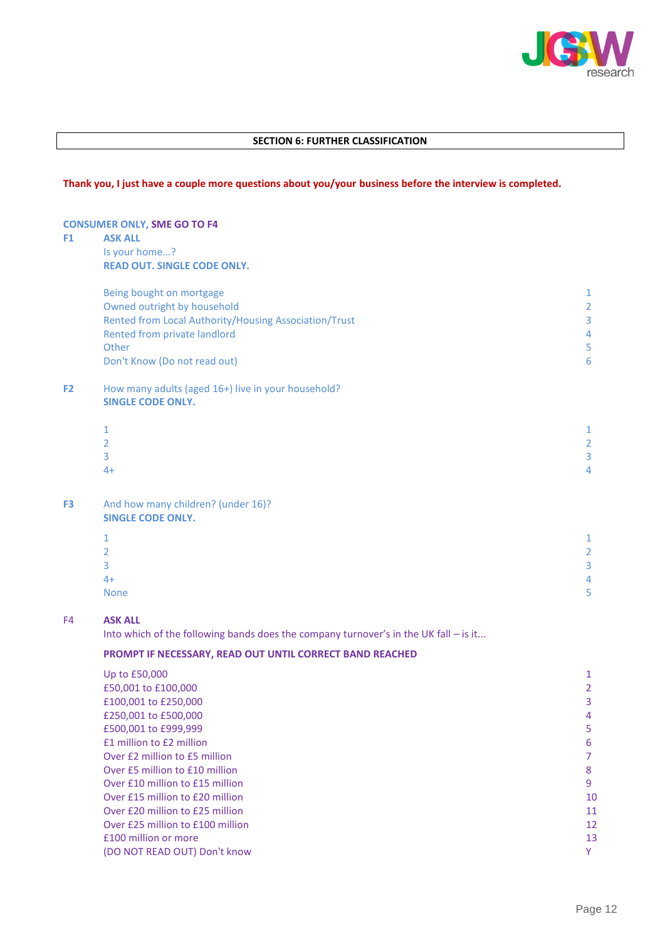

## **SECTION 6: FURTHER CLASSIFICATION**

## **Thank you, I just have a couple more questions about you/your business before the interview is completed.**

## **CONSUMER ONLY, SME GO TO F4**

## **F1 ASK ALL**

Is your home...? **READ OUT. SINGLE CODE ONLY.**

|                | Being bought on mortgage                              | 1 |
|----------------|-------------------------------------------------------|---|
|                | Owned outright by household                           | 2 |
|                | Rented from Local Authority/Housing Association/Trust | 3 |
|                | Rented from private landlord                          | 4 |
|                | Other                                                 | 5 |
|                | Don't Know (Do not read out)                          | 6 |
| F <sub>2</sub> | How many adults (aged 16+) live in your household?    |   |
|                | <b>SINGLE CODE ONLY.</b>                              |   |
|                |                                                       | 1 |
|                |                                                       | 2 |
|                | 3                                                     | 3 |
|                | $4+$                                                  | 4 |
|                |                                                       |   |
|                |                                                       |   |

#### **F3** And how many children? (under 16)? **SINGLE CODE ONLY.**

| $\overline{1}$<br>Ш. | 1<br>ı         |
|----------------------|----------------|
| $\overline{2}$       | $\overline{2}$ |
| $\overline{3}$       | 3              |
| $4+$                 | 4              |
| None                 | ц<br>ر         |

## F4 **ASK ALL**

Into which of the following bands does the company turnover's in the UK fall – is it...

## **PROMPT IF NECESSARY, READ OUT UNTIL CORRECT BAND REACHED**

| Up to £50,000                    |    |
|----------------------------------|----|
| £50,001 to £100,000              |    |
| £100,001 to £250,000             | 3  |
| £250,001 to £500,000             | 4  |
| £500,001 to £999,999             | 5  |
| £1 million to £2 million         | 6  |
| Over £2 million to £5 million    |    |
| Over £5 million to £10 million   | 8  |
| Over £10 million to £15 million  | 9  |
| Over £15 million to £20 million  | 10 |
| Over £20 million to £25 million  | 11 |
| Over £25 million to £100 million | 12 |
| £100 million or more             | 13 |
| (DO NOT READ OUT) Don't know     | Y  |